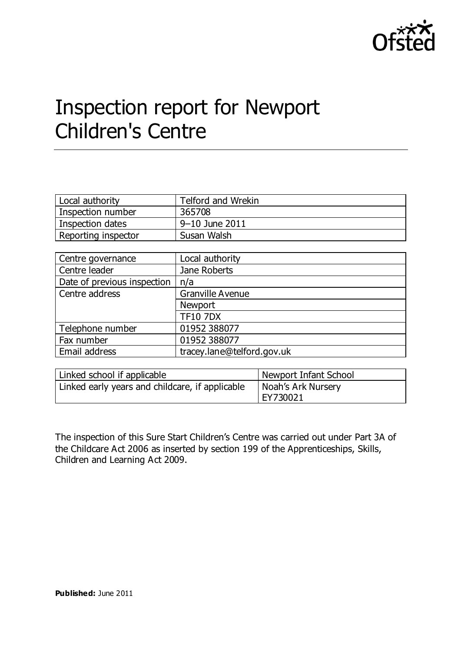

# Inspection report for Newport Children's Centre

| Local authority     | Telford and Wrekin |
|---------------------|--------------------|
| Inspection number   | 365708             |
| Inspection dates    | 9–10 June 2011     |
| Reporting inspector | Susan Walsh        |

| Centre governance           | Local authority            |
|-----------------------------|----------------------------|
| Centre leader               | Jane Roberts               |
| Date of previous inspection | n/a                        |
| Centre address              | <b>Granville Avenue</b>    |
|                             | Newport                    |
|                             | <b>TF10 7DX</b>            |
| Telephone number            | 01952 388077               |
| Fax number                  | 01952 388077               |
| Email address               | tracey.lane@telford.gov.uk |

| Linked school if applicable                     | Newport Infant School |
|-------------------------------------------------|-----------------------|
| Linked early years and childcare, if applicable | Noah's Ark Nursery    |
|                                                 | EY730021              |

The inspection of this Sure Start Children's Centre was carried out under Part 3A of the Childcare Act 2006 as inserted by section 199 of the Apprenticeships, Skills, Children and Learning Act 2009.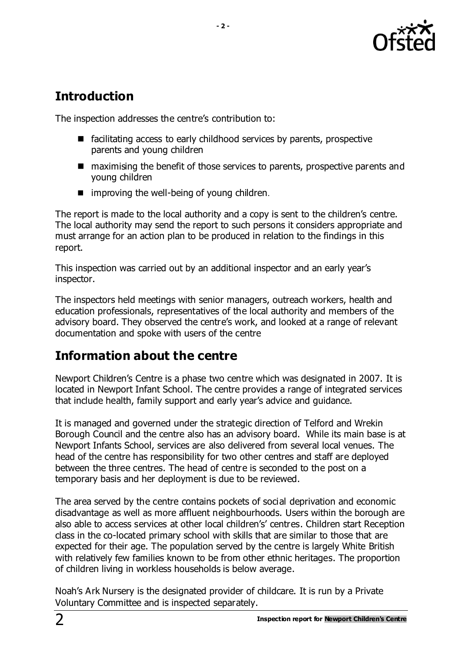

# **Introduction**

The inspection addresses the centre's contribution to:

- facilitating access to early childhood services by parents, prospective parents and young children
- maximising the benefit of those services to parents, prospective parents and young children
- $\blacksquare$  improving the well-being of young children.

The report is made to the local authority and a copy is sent to the children's centre. The local authority may send the report to such persons it considers appropriate and must arrange for an action plan to be produced in relation to the findings in this report.

This inspection was carried out by an additional inspector and an early year's inspector.

The inspectors held meetings with senior managers, outreach workers, health and education professionals, representatives of the local authority and members of the advisory board. They observed the centre's work, and looked at a range of relevant documentation and spoke with users of the centre

# **Information about the centre**

Newport Children's Centre is a phase two centre which was designated in 2007. It is located in Newport Infant School. The centre provides a range of integrated services that include health, family support and early year's advice and guidance.

It is managed and governed under the strategic direction of Telford and Wrekin Borough Council and the centre also has an advisory board. While its main base is at Newport Infants School, services are also delivered from several local venues. The head of the centre has responsibility for two other centres and staff are deployed between the three centres. The head of centre is seconded to the post on a temporary basis and her deployment is due to be reviewed.

The area served by the centre contains pockets of social deprivation and economic disadvantage as well as more affluent neighbourhoods. Users within the borough are also able to access services at other local children's' centres. Children start Reception class in the co-located primary school with skills that are similar to those that are expected for their age. The population served by the centre is largely White British with relatively few families known to be from other ethnic heritages. The proportion of children living in workless households is below average.

Noah's Ark Nursery is the designated provider of childcare. It is run by a Private Voluntary Committee and is inspected separately.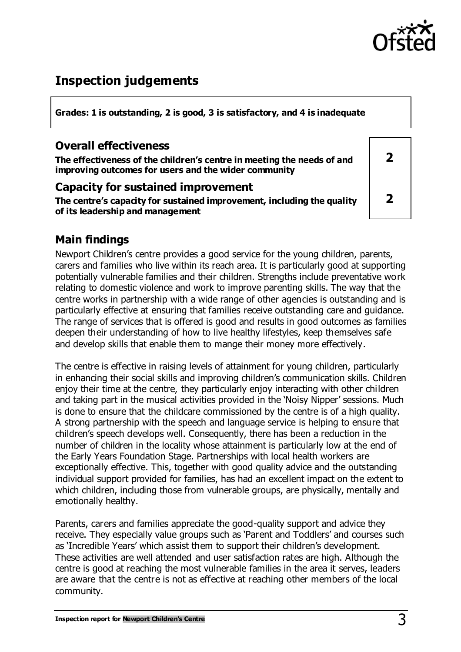

# **Inspection judgements**

**Grades: 1 is outstanding, 2 is good, 3 is satisfactory, and 4 is inadequate**

### **Overall effectiveness**

**The effectiveness of the children's centre in meeting the needs of and improving outcomes for users and the wider community**

#### **Capacity for sustained improvement**

**The centre's capacity for sustained improvement, including the quality of its leadership and management**

| $\overline{\mathbf{2}}$ |  |
|-------------------------|--|
| $\overline{\mathbf{2}}$ |  |

## **Main findings**

Newport Children's centre provides a good service for the young children, parents, carers and families who live within its reach area. It is particularly good at supporting potentially vulnerable families and their children. Strengths include preventative work relating to domestic violence and work to improve parenting skills. The way that the centre works in partnership with a wide range of other agencies is outstanding and is particularly effective at ensuring that families receive outstanding care and guidance. The range of services that is offered is good and results in good outcomes as families deepen their understanding of how to live healthy lifestyles, keep themselves safe and develop skills that enable them to mange their money more effectively.

The centre is effective in raising levels of attainment for young children, particularly in enhancing their social skills and improving children's communication skills. Children enjoy their time at the centre, they particularly enjoy interacting with other children and taking part in the musical activities provided in the 'Noisy Nipper' sessions. Much is done to ensure that the childcare commissioned by the centre is of a high quality. A strong partnership with the speech and language service is helping to ensure that children's speech develops well. Consequently, there has been a reduction in the number of children in the locality whose attainment is particularly low at the end of the Early Years Foundation Stage. Partnerships with local health workers are exceptionally effective. This, together with good quality advice and the outstanding individual support provided for families, has had an excellent impact on the extent to which children, including those from vulnerable groups, are physically, mentally and emotionally healthy.

Parents, carers and families appreciate the good-quality support and advice they receive. They especially value groups such as 'Parent and Toddlers' and courses such as 'Incredible Years' which assist them to support their children's development. These activities are well attended and user satisfaction rates are high. Although the centre is good at reaching the most vulnerable families in the area it serves, leaders are aware that the centre is not as effective at reaching other members of the local community.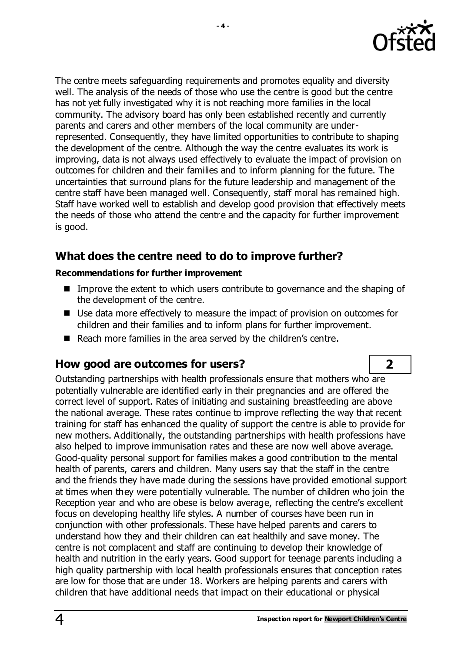

The centre meets safeguarding requirements and promotes equality and diversity well. The analysis of the needs of those who use the centre is good but the centre has not yet fully investigated why it is not reaching more families in the local community. The advisory board has only been established recently and currently parents and carers and other members of the local community are underrepresented. Consequently, they have limited opportunities to contribute to shaping the development of the centre. Although the way the centre evaluates its work is improving, data is not always used effectively to evaluate the impact of provision on outcomes for children and their families and to inform planning for the future. The uncertainties that surround plans for the future leadership and management of the centre staff have been managed well. Consequently, staff moral has remained high. Staff have worked well to establish and develop good provision that effectively meets the needs of those who attend the centre and the capacity for further improvement

is good.

## **What does the centre need to do to improve further?**

#### **Recommendations for further improvement**

- Improve the extent to which users contribute to governance and the shaping of the development of the centre.
- Use data more effectively to measure the impact of provision on outcomes for children and their families and to inform plans for further improvement.
- Reach more families in the area served by the children's centre.

## **How good are outcomes for users? 2**

Outstanding partnerships with health professionals ensure that mothers who are potentially vulnerable are identified early in their pregnancies and are offered the correct level of support. Rates of initiating and sustaining breastfeeding are above the national average. These rates continue to improve reflecting the way that recent training for staff has enhanced the quality of support the centre is able to provide for new mothers. Additionally, the outstanding partnerships with health professions have also helped to improve immunisation rates and these are now well above average. Good-quality personal support for families makes a good contribution to the mental health of parents, carers and children. Many users say that the staff in the centre and the friends they have made during the sessions have provided emotional support at times when they were potentially vulnerable. The number of children who join the Reception year and who are obese is below average, reflecting the centre's excellent focus on developing healthy life styles. A number of courses have been run in conjunction with other professionals. These have helped parents and carers to understand how they and their children can eat healthily and save money. The centre is not complacent and staff are continuing to develop their knowledge of health and nutrition in the early years. Good support for teenage parents including a high quality partnership with local health professionals ensures that conception rates are low for those that are under 18. Workers are helping parents and carers with children that have additional needs that impact on their educational or physical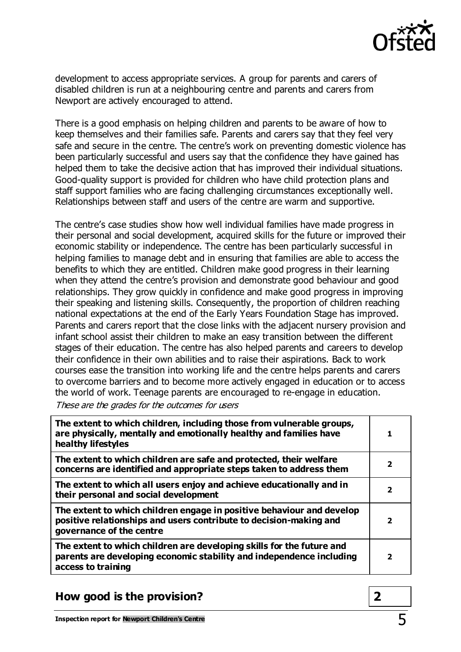

development to access appropriate services. A group for parents and carers of disabled children is run at a neighbouring centre and parents and carers from Newport are actively encouraged to attend.

There is a good emphasis on helping children and parents to be aware of how to keep themselves and their families safe. Parents and carers say that they feel very safe and secure in the centre. The centre's work on preventing domestic violence has been particularly successful and users say that the confidence they have gained has helped them to take the decisive action that has improved their individual situations. Good-quality support is provided for children who have child protection plans and staff support families who are facing challenging circumstances exceptionally well. Relationships between staff and users of the centre are warm and supportive.

The centre's case studies show how well individual families have made progress in their personal and social development, acquired skills for the future or improved their economic stability or independence. The centre has been particularly successful in helping families to manage debt and in ensuring that families are able to access the benefits to which they are entitled. Children make good progress in their learning when they attend the centre's provision and demonstrate good behaviour and good relationships. They grow quickly in confidence and make good progress in improving their speaking and listening skills. Consequently, the proportion of children reaching national expectations at the end of the Early Years Foundation Stage has improved. Parents and carers report that the close links with the adjacent nursery provision and infant school assist their children to make an easy transition between the different stages of their education. The centre has also helped parents and careers to develop their confidence in their own abilities and to raise their aspirations. Back to work courses ease the transition into working life and the centre helps parents and carers to overcome barriers and to become more actively engaged in education or to access the world of work. Teenage parents are encouraged to re-engage in education.

These are the grades for the outcomes for users

| The extent to which children, including those from vulnerable groups,<br>are physically, mentally and emotionally healthy and families have<br>healthy lifestyles       |                         |
|-------------------------------------------------------------------------------------------------------------------------------------------------------------------------|-------------------------|
| The extent to which children are safe and protected, their welfare<br>concerns are identified and appropriate steps taken to address them                               | 2                       |
| The extent to which all users enjoy and achieve educationally and in<br>their personal and social development                                                           | 2                       |
| The extent to which children engage in positive behaviour and develop<br>positive relationships and users contribute to decision-making and<br>governance of the centre | 2                       |
| The extent to which children are developing skills for the future and<br>parents are developing economic stability and independence including<br>access to training     | $\overline{\mathbf{2}}$ |

#### **How good is the provision? 2**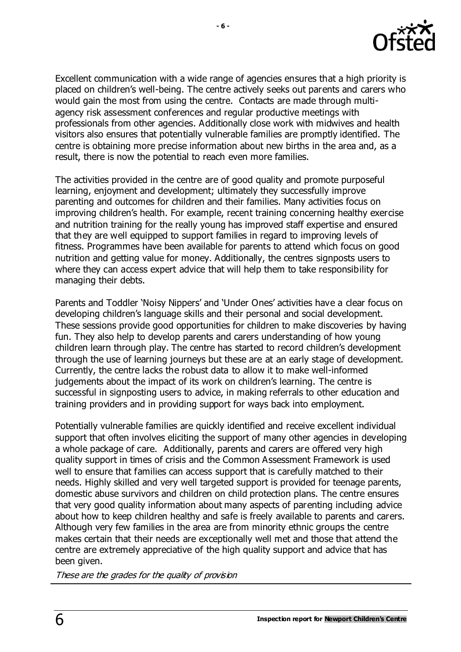

Excellent communication with a wide range of agencies ensures that a high priority is placed on children's well-being. The centre actively seeks out parents and carers who would gain the most from using the centre. Contacts are made through multiagency risk assessment conferences and regular productive meetings with professionals from other agencies. Additionally close work with midwives and health visitors also ensures that potentially vulnerable families are promptly identified. The centre is obtaining more precise information about new births in the area and, as a result, there is now the potential to reach even more families.

The activities provided in the centre are of good quality and promote purposeful learning, enjoyment and development; ultimately they successfully improve parenting and outcomes for children and their families. Many activities focus on improving children's health. For example, recent training concerning healthy exercise and nutrition training for the really young has improved staff expertise and ensured that they are well equipped to support families in regard to improving levels of fitness. Programmes have been available for parents to attend which focus on good nutrition and getting value for money. Additionally, the centres signposts users to where they can access expert advice that will help them to take responsibility for managing their debts.

Parents and Toddler 'Noisy Nippers' and 'Under Ones' activities have a clear focus on developing children's language skills and their personal and social development. These sessions provide good opportunities for children to make discoveries by having fun. They also help to develop parents and carers understanding of how young children learn through play. The centre has started to record children's development through the use of learning journeys but these are at an early stage of development. Currently, the centre lacks the robust data to allow it to make well-informed judgements about the impact of its work on children's learning. The centre is successful in signposting users to advice, in making referrals to other education and training providers and in providing support for ways back into employment.

Potentially vulnerable families are quickly identified and receive excellent individual support that often involves eliciting the support of many other agencies in developing a whole package of care. Additionally, parents and carers are offered very high quality support in times of crisis and the Common Assessment Framework is used well to ensure that families can access support that is carefully matched to their needs. Highly skilled and very well targeted support is provided for teenage parents, domestic abuse survivors and children on child protection plans. The centre ensures that very good quality information about many aspects of parenting including advice about how to keep children healthy and safe is freely available to parents and carers. Although very few families in the area are from minority ethnic groups the centre makes certain that their needs are exceptionally well met and those that attend the centre are extremely appreciative of the high quality support and advice that has been given.

These are the grades for the quality of provision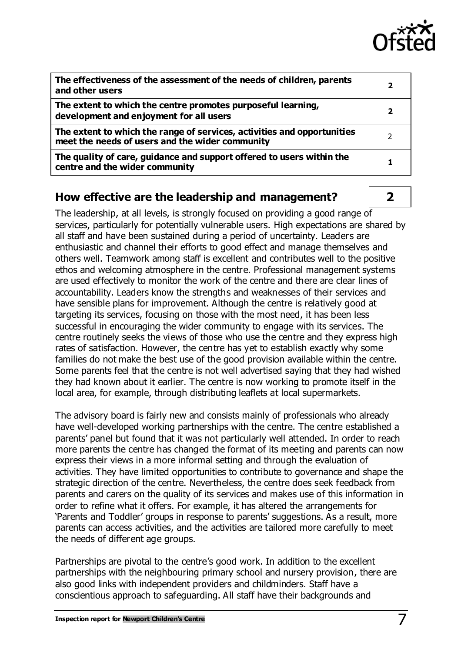

| The effectiveness of the assessment of the needs of children, parents<br>and other users                                   |   |
|----------------------------------------------------------------------------------------------------------------------------|---|
| The extent to which the centre promotes purposeful learning,<br>development and enjoyment for all users                    |   |
| The extent to which the range of services, activities and opportunities<br>meet the needs of users and the wider community | 2 |
| The quality of care, guidance and support offered to users within the<br>centre and the wider community                    |   |

#### **How effective are the leadership and management? 2**

The leadership, at all levels, is strongly focused on providing a good range of services, particularly for potentially vulnerable users. High expectations are shared by all staff and have been sustained during a period of uncertainty. Leaders are enthusiastic and channel their efforts to good effect and manage themselves and others well. Teamwork among staff is excellent and contributes well to the positive ethos and welcoming atmosphere in the centre. Professional management systems are used effectively to monitor the work of the centre and there are clear lines of accountability. Leaders know the strengths and weaknesses of their services and have sensible plans for improvement. Although the centre is relatively good at targeting its services, focusing on those with the most need, it has been less successful in encouraging the wider community to engage with its services. The centre routinely seeks the views of those who use the centre and they express high rates of satisfaction. However, the centre has yet to establish exactly why some families do not make the best use of the good provision available within the centre. Some parents feel that the centre is not well advertised saying that they had wished they had known about it earlier. The centre is now working to promote itself in the local area, for example, through distributing leaflets at local supermarkets.

The advisory board is fairly new and consists mainly of professionals who already have well-developed working partnerships with the centre. The centre established a parents' panel but found that it was not particularly well attended. In order to reach more parents the centre has changed the format of its meeting and parents can now express their views in a more informal setting and through the evaluation of activities. They have limited opportunities to contribute to governance and shape the strategic direction of the centre. Nevertheless, the centre does seek feedback from parents and carers on the quality of its services and makes use of this information in order to refine what it offers. For example, it has altered the arrangements for 'Parents and Toddler' groups in response to parents' suggestions. As a result, more parents can access activities, and the activities are tailored more carefully to meet the needs of different age groups.

Partnerships are pivotal to the centre's good work. In addition to the excellent partnerships with the neighbouring primary school and nursery provision, there are also good links with independent providers and childminders. Staff have a conscientious approach to safeguarding. All staff have their backgrounds and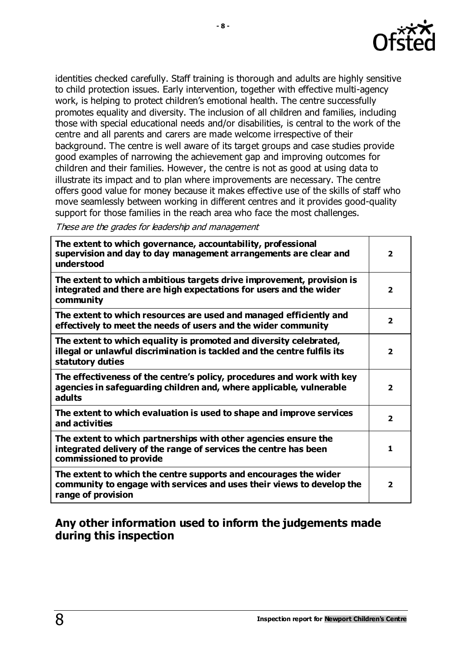

identities checked carefully. Staff training is thorough and adults are highly sensitive to child protection issues. Early intervention, together with effective multi-agency work, is helping to protect children's emotional health. The centre successfully promotes equality and diversity. The inclusion of all children and families, including those with special educational needs and/or disabilities, is central to the work of the centre and all parents and carers are made welcome irrespective of their background. The centre is well aware of its target groups and case studies provide good examples of narrowing the achievement gap and improving outcomes for children and their families. However, the centre is not as good at using data to illustrate its impact and to plan where improvements are necessary. The centre offers good value for money because it makes effective use of the skills of staff who move seamlessly between working in different centres and it provides good-quality support for those families in the reach area who face the most challenges.

These are the grades for leadership and management

| The extent to which governance, accountability, professional<br>supervision and day to day management arrangements are clear and<br>understood                     | $\overline{2}$          |
|--------------------------------------------------------------------------------------------------------------------------------------------------------------------|-------------------------|
| The extent to which ambitious targets drive improvement, provision is<br>integrated and there are high expectations for users and the wider<br>community           | $\overline{2}$          |
| The extent to which resources are used and managed efficiently and<br>effectively to meet the needs of users and the wider community                               | $\overline{\mathbf{2}}$ |
| The extent to which equality is promoted and diversity celebrated,<br>illegal or unlawful discrimination is tackled and the centre fulfils its<br>statutory duties | $\overline{\mathbf{2}}$ |
| The effectiveness of the centre's policy, procedures and work with key<br>agencies in safeguarding children and, where applicable, vulnerable<br>adults            | $\overline{\mathbf{2}}$ |
| The extent to which evaluation is used to shape and improve services<br>and activities                                                                             | $\overline{\mathbf{2}}$ |
| The extent to which partnerships with other agencies ensure the<br>integrated delivery of the range of services the centre has been<br>commissioned to provide     | 1                       |
| The extent to which the centre supports and encourages the wider<br>community to engage with services and uses their views to develop the<br>range of provision    | $\overline{\mathbf{2}}$ |

## **Any other information used to inform the judgements made during this inspection**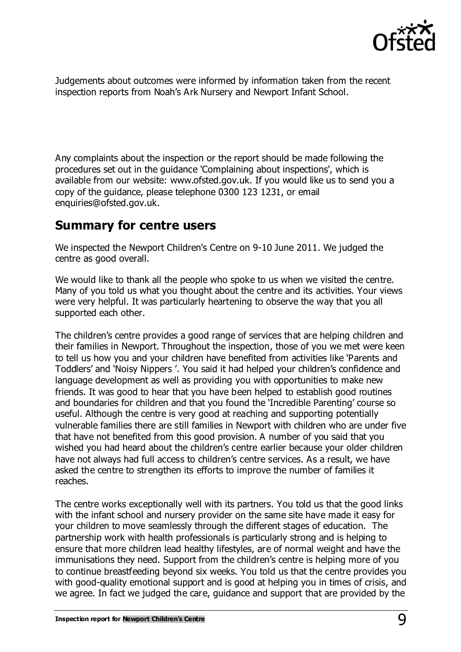

Judgements about outcomes were informed by information taken from the recent inspection reports from Noah's Ark Nursery and Newport Infant School.

Any complaints about the inspection or the report should be made following the procedures set out in the guidance 'Complaining about inspections', which is available from our website: [www.ofsted.gov.uk.](http://www.ofsted.gov.uk/) If you would like us to send you a copy of the guidance, please telephone 0300 123 1231, or email [enquiries@ofsted.gov.uk.](mailto:enquiries@ofsted.gov.uk)

# **Summary for centre users**

We inspected the Newport Children's Centre on 9-10 June 2011. We judged the centre as good overall.

We would like to thank all the people who spoke to us when we visited the centre. Many of you told us what you thought about the centre and its activities. Your views were very helpful. It was particularly heartening to observe the way that you all supported each other.

The children's centre provides a good range of services that are helping children and their families in Newport. Throughout the inspection, those of you we met were keen to tell us how you and your children have benefited from activities like 'Parents and Toddlers' and 'Noisy Nippers '. You said it had helped your children's confidence and language development as well as providing you with opportunities to make new friends. It was good to hear that you have been helped to establish good routines and boundaries for children and that you found the 'Incredible Parenting' course so useful. Although the centre is very good at reaching and supporting potentially vulnerable families there are still families in Newport with children who are under five that have not benefited from this good provision. A number of you said that you wished you had heard about the children's centre earlier because your older children have not always had full access to children's centre services. As a result, we have asked the centre to strengthen its efforts to improve the number of families it reaches.

The centre works exceptionally well with its partners. You told us that the good links with the infant school and nursery provider on the same site have made it easy for your children to move seamlessly through the different stages of education. The partnership work with health professionals is particularly strong and is helping to ensure that more children lead healthy lifestyles, are of normal weight and have the immunisations they need. Support from the children's centre is helping more of you to continue breastfeeding beyond six weeks. You told us that the centre provides you with good-quality emotional support and is good at helping you in times of crisis, and we agree. In fact we judged the care, guidance and support that are provided by the